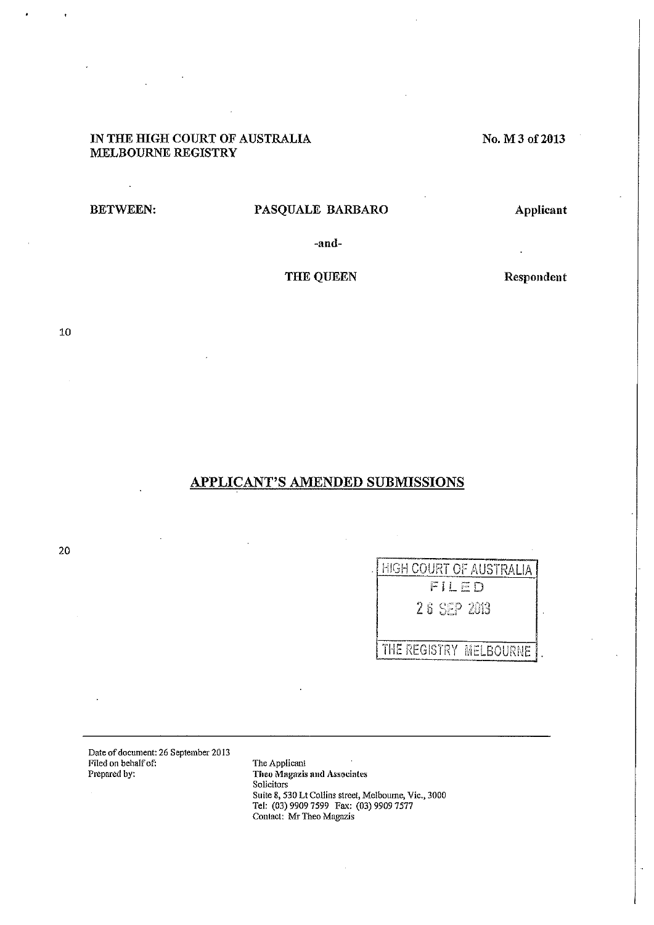# IN THE HIGH COURT OF AUSTRALIA MELBOURNE REGISTRY

 $\mathcal{L}$ 

# BETWEEN: PASQUALE BARBARO

Applicant

No.M3of2013

-and-

# THE QUEEN

Respondent

10

# APPLICANT'S AMENDED SUBMISSIONS

| HIGH COURT OF AUSTRALIA |
|-------------------------|
| FILED                   |
| 26 SFP 2013             |
|                         |
|                         |
| THE REGISTRY MELBOURNE  |

Date of document: 26 September 2013 Filed on behalf of: Prepared by:

The Applicant Theo Mngazis **nnd** Associates Solicitors<sup>7</sup> Suite 8, 530 Lt Collins street, Melboume, Vic., 3000 Tel: (03) 9909 7599 Fax: (03) 9909 7577 Contact: Mr Theo Magazis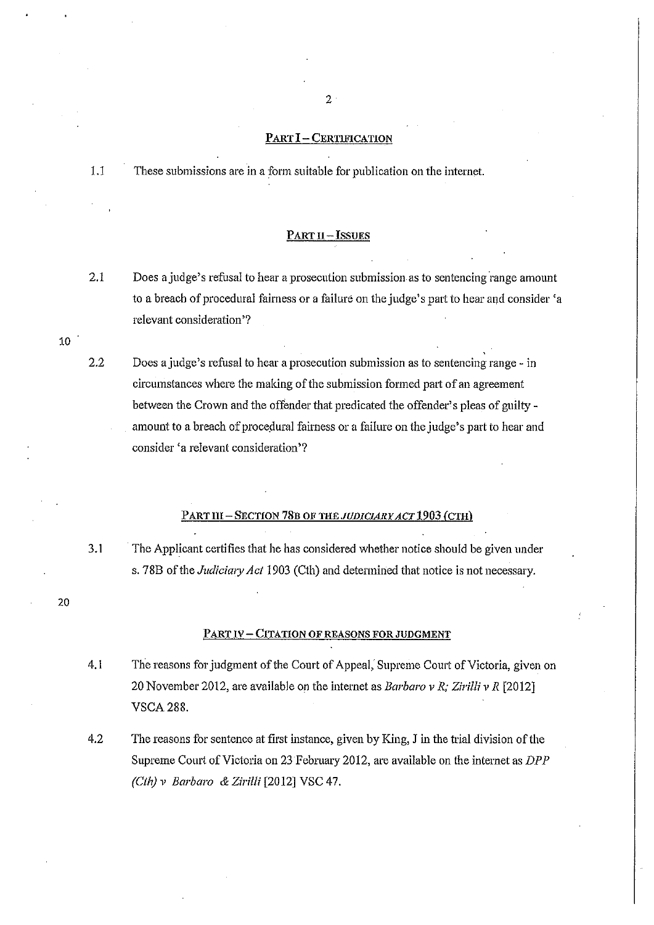#### PART **I-**CERTIFICATION

1.1 These submissions are in a form suitable for publication on the internet.

#### PART **ll-**ISSUES

- 2.1 Does a judge's refusal to hear a prosecution submission as to sentencing range amount to a breach of procedural fairness or a failure on the judge's part to hear and consider 'a relevant consideration'?
- 2.2 Does a judge's refusal to hear a prosecution submission as to sentencing range- in circumstances where the making of the submission formed part of an agreement between the Crown and the offender that predicated the offender's pleas of guilty amount to a breach of procedural fairness or a failure on the judge's part to hear and consider 'a relevant consideration'?

## PART **HI-** SECTION 78B OF *THE JUDICIARY ACT* 1903 (CTH)

3.1 The Applicant certifies that he has considered whether notice should be given under s. 78B of the *Judiciary Act* 1903 (Cth) and determined that notice is not necessary.

20

10

### PART IV - CITATION OF REASONS FOR JUDGMENT

- 4.1 The reasons for judgment of the Court of Appeal, Supreme Court of Victoria, given on 20 November 2012, are available on the internet as *Barbaro v R; Zirilli v R* [2012] VSCA288.
- 4.2 The reasons for sentence at first instance, given by King, J in the trial division of the Supreme Court of Victoria on 23 February 2012, are available on the internet as *DPP (Cth) v Barbaro & Zirilli* [2012] VSC 47.

 $2<sup>1</sup>$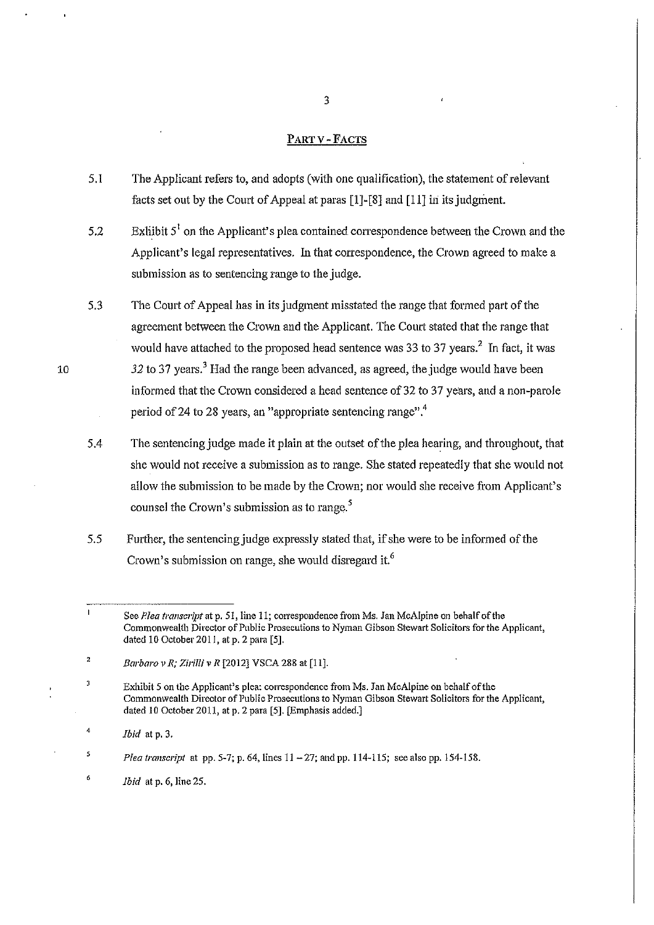## PARTY -FACTS

- 5.1 The Applicant refers to, and adopts (with one qualification), the statement of relevant facts set out by the Court of Appeal at paras  $[1]$ - $[8]$  and  $[11]$  in its judgment.
- 5.2 Exhibit  $5<sup>1</sup>$  on the Applicant's plea contained correspondence between the Crown and the Applicant's legal representatives. ln that correspondence, the Crown agreed to make a submission as to sentencing range to the judge.
- 5.3 The Court of Appeal has in its judgment misstated the range that formed part of the agreement between the Crown and the Applicant. The Court stated that the range that would have attached to the proposed head sentence was 33 to 37 years. $^2$  In fact, it was 32 to 37 years.<sup>3</sup> Had the range been advanced, as agreed, the judge would have been informed that the Crown considered a head sentence of 32 to 37 years, and a non-parole period of 24 to 28 years, an "appropriate sentencing range".<sup>4</sup>
- 5.4 The sentencing judge made it plain at the outset of the plea hearing, and throughout, that she would not receive a submission as to range. She stated repeatedly that she would not allow the submission to be made by the Crown; nor would she receive from Applicant's counsel the Crown's submission as to range.<sup>5</sup>
- 5.5 Further, the sentencing judge expressly stated that, if she were to be informed of the Crown's submission on range, she would disregard it.<sup>6</sup>

5 *Plea transcript* at pp. 5-7; p. 64, lines 11 - 27; and pp. 114-115; see also pp. 154-158.

6 *Ibid* at p. 6, line 25.

 $\mathbf{I}$ See *Plea transcript* at p. 51, line 11; correspondence from Ms. Jan McAlpine on behalf of the **Commonwealth Director of Public Prosecutions to Nyman Gibson Stewart Solicitors for the Applicant,**  dated 10 October 2011, at p. 2 para [5].

<sup>2</sup>  *Barbaro v R; Zirilli v R* [2012] VSCA 288 at [11].

 $\overline{3}$ Exhibit 5 on the Applicant's plea: correspondence from Ms. Jan McAlpine on behalf of the Commonwealth Director of Public Prosecutions to Nyman Gibson Stewart Solicitors for the Applicant, dated 10 October 2011, at p. 2 para [5]. [Emphasis added.]

<sup>4</sup>  *Ibid* at p. 3.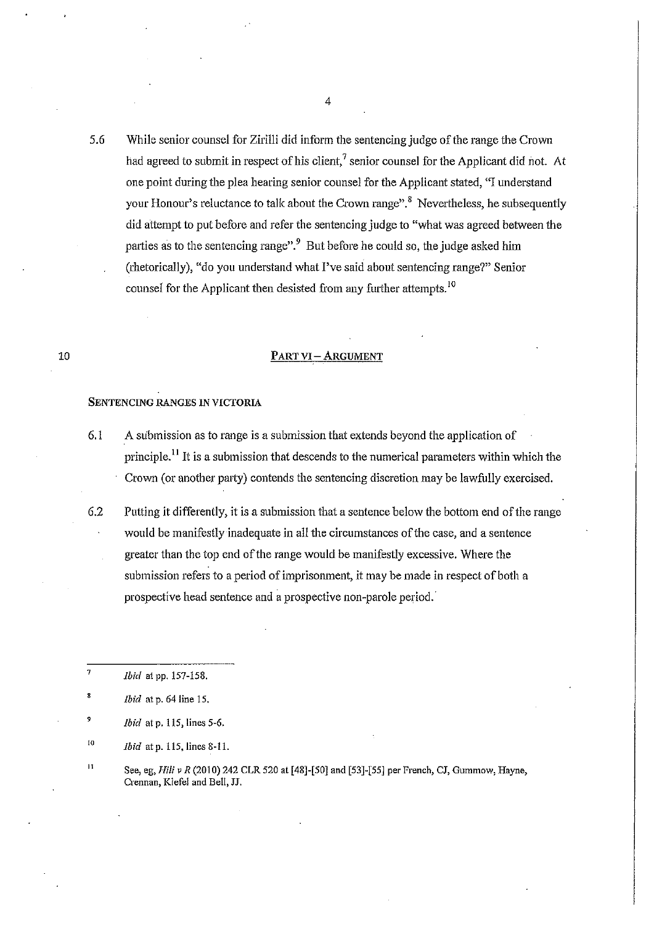5.6 While senior counsel for Zirilli did inform the sentencing judge of the range the Crown had agreed to submit in respect of his client,<sup>7</sup> senior counsel for the Applicant did not. At one point during the plea hearing senior counsel for the Applicant stated, "I understand your Honour's reluctance to talk about the Crown range".<sup>8</sup> Nevertheless, he subsequently did attempt to put before and refer the sentencing judge to "what was agreed between the parties as to the sentencing range".<sup>9</sup> But before he could so, the judge asked him (rhetorically), "do you understand what I've said about sentencing range?" Senior counsel for the Applicant then desisted from any further attempts.<sup>10</sup>

### **PART** VI- ARGUMENT

#### SENTENCING RANGES IN VICTORIA

- 6.1 A submission as to range is a submission that extends beyond the application of principle.<sup>11</sup> It is a submission that descends to the numerical parameters within which the Crown (or another party) contends the sentencing discretion may be lawfully exercised.
- 6.2 Putting it differently, it is a submission that a sentence below the bottom end of the range would be manifestly inadequate in all the circumstances of the case, and a sentence greater than the top end of the range would be manifestly excessive. Where the submission refers to a period of imprisonment, it may be made in respect of both a prospective head sentence and a prospective non-parole period.

- 9 *Ibid* at p. 115, lines 5-6.
- 10 *Ibid* at p. 115, lines 8-11.
- II See, eg, *Hili v R* (2010) 242 CLR 520 at [48]-[50] and [53]-[55] per French, CJ, Gummow, Hayne, **Crennan, Kiefel and Bell, JJ.**

<sup>7</sup>  *Ibid* at pp. 157-158.

<sup>&#</sup>x27; *Ibid* at p. 64 line 15.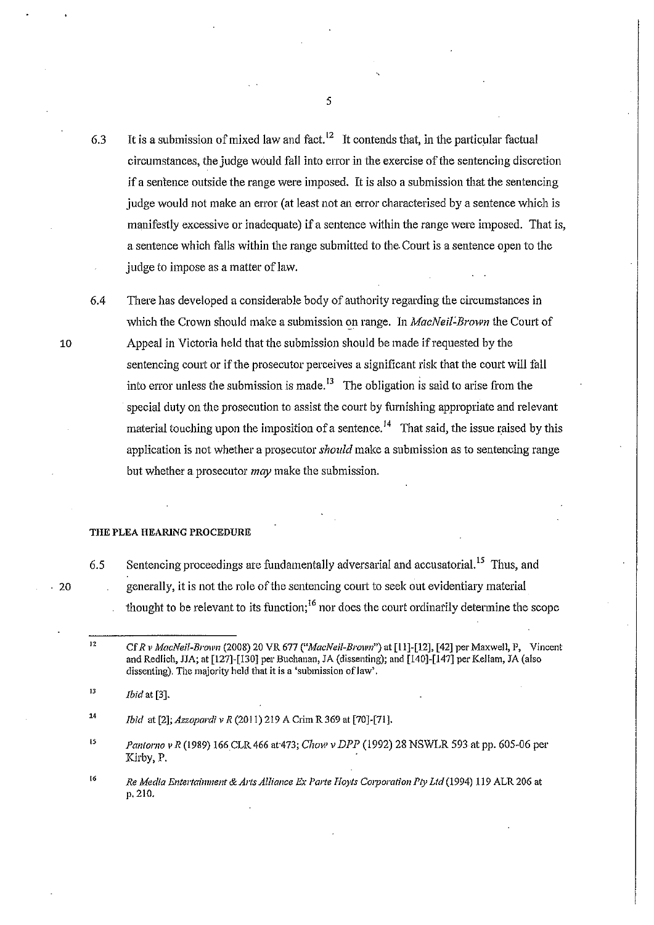6.3 It is a submission of mixed law and fact.<sup>12</sup> It contends that, in the particular factual circumstances, the judge would fall into error in the exercise of the sentencing discretion if a sentence outside the range were imposed. It is also a submission that the sentencing judge would not make an error (at least not an error characterised by a sentence which is manifestly excessive or inadequate) if a sentence within the range were imposed. That is, a sentence which falls within the range submitted to the Court is a sentence open to the judge to impose as a matter of law.

6.4 There has developed a considerable body of authority regarding the circumstances in which the Crown should make a submission on range. In *MacNeil-Brown* the Court of Appeal in Victoria held that the submission should be made if requested by the sentencing court or if the prosecutor perceives a significant risk that the court will fall into error unless the submission is made.<sup>13</sup> The obligation is said to arise from the special duty on the prosecution to assist the court by furnishing appropriate and relevant material touching upon the imposition of a sentence.<sup>14</sup> That said, the issue raised by this application is not whether a prosecutor *should* make a submission as to sentencing range but whether a prosecutor *may* make the submission.

#### THE PLEA HEARING PROCEDURE

. 20

6.5

10

Sentencing proceedings are fundamentally adversarial and accusatorial.<sup>15</sup> Thus, and generally, it is not the role of the sentencing court to seek out evidentiary material thought to be relevant to its function;<sup>16</sup> nor does the court ordinarily determine the scope

14 *Ibid* at [2]; *Azzopardi v R* (2011) 219 A Crim R 369 at [70]-[71].

- " *Pantorno vR* (1989) 166CLR466 at·473; *Chow vDPP* (1992) 28 NSWLR 593 at pp. 605-06 per Kirby, P. .
- 16 *Re Media Entertainment* & *Arts Alliance Ex Parle Hoyts Corporation Ply Ltd* (1994) 119 ALR 206 at p. 210.

<sup>12</sup>  Cf *R v MacNeil-Brown* (2008) 20 VR 677 *("MacNeil-Brown")* at [ll]-[12], [42] per Maxwell, P, Vincent and Redlich, JJA; at [127]-[130] per Buchanan, JA (dissenting); and [140]-[147] per Kellam, JA (also dissenting). The majority held that it is a 'submission of law'.

<sup>13</sup>  *Ibid* at [3].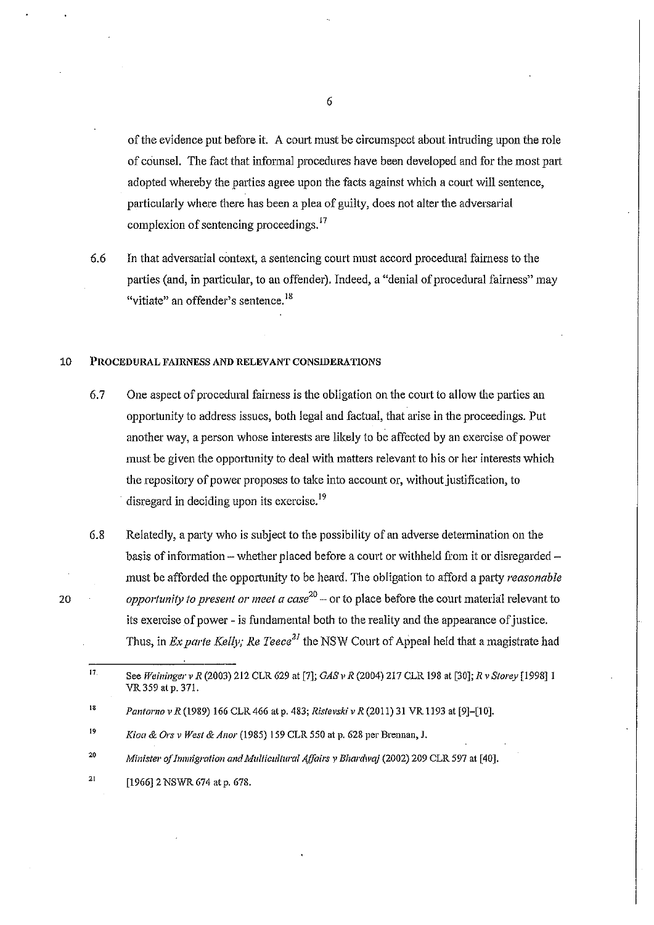of the evidence put before it. A court must be circumspect about intruding upon the role of counsel. The fact that informal procedures have been developed and for the most part adopted whereby the patties agree upon the facts against which a court will sentence, particularly where there has been a plea of guilty, does not alter the adversarial complexion of sentencing proceedings. <sup>17</sup>

6.6 In that adversarial context, a sentencing court must accord procedural fairness to the parties (and, in particular, to an offender). Indeed, a "denial of procedural fairness" may "vitiate" an offender's sentence. <sup>18</sup>

#### 10 PROCEDURAL FAIRNESS AND RELEVANT CONSIDERATIONS

- 6.7 One aspect of procedural fairness is the obligation on the court to allow the parties an opportunity to address issues, both legal and factual, that arise in the proceedings. Put another way, a person whose interests are likely to be affected by an exercise of power must be given the opportunity to deal with matters relevant to his or her interests which the repository of power proposes to take into account or, without justification, to disregard in deciding upon its exercise.<sup>19</sup>
- 6.8 Relatedly, a party who is subject to the possibility of an adverse determination on the basis of information -- whether placed before a court or withheld from it or disregarded -must be afforded the opportunity to be heard. The obligation to afford a party *reasonable opportunity to present or meet a case <sup>20</sup> -* or to place before the court material relevant to its exercise of power- is fundamental both to the reality and the appearance of justice. Thus, in *Ex parte Kelly; Re Teece*<sup>21</sup> the NSW Court of Appeal held that a magistrate had

- 20 *Minister of Immigration and Multicultural Affairs* v *Bhardwaj* (2002) 209 CLR 597 at [40].
- 21 [1966] 2 NSWR 674 at p. 678.

6

<sup>17</sup>  See *Weiningerv R* (2003) 212 CLR 629 at[7]; *GAS v R* (2004) 217 CLR 198 at [30]; *R* v *Storey* [1998]1 VR 359 at p. 371.

<sup>18</sup>  *Pantorno* v *R* (1989) 166 CLR 466 at p. 483; *Ristevski* v *R* (2011) 31 VR 1193 at [9]-[10].

<sup>19</sup>  *Kioa* & *Ors* v *West* & *A nor* (1985) 159 CLR 550 at p. 628 per Brennan, J.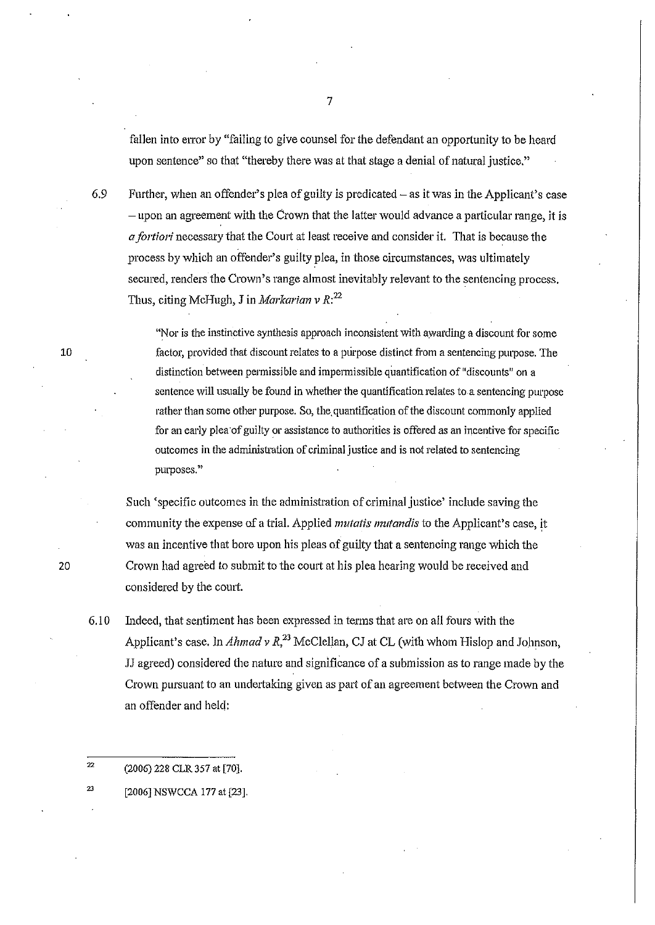fallen into error by "failing to give counsel for the defendant an opportunity to be heard upon sentence" so that "thereby there was at that stage a denial of natural justice."

6.9 Further, when an offender's plea of guilty is predicated- as it was in the Applicant's case -upon an agreement with the Crown that the latter would advance a patticular range, it is *a fortiori* necessary that the Comt at least receive and consider it. That is because the process by which an offender's guilty plea, in those circumstances, was ultimately secured, renders the Crown's range almost inevitably relevant to the sentencing process. Thus, citing McHugh, J in *Markarian* v R:*<sup>22</sup>*

> "Nor is the instinctive synthesis approach inconsistent with awarding a discount for some factor, provided that discount relates to a purpose distinct from a sentencing purpose. The distinction between permissible and impermissible quantification of "discounts" on a sentence will usually be found in whether the quantification relates to a sentencing purpose rather than some other purpose. So, the quantification of the discount commonly applied for an early plea of guilty or assistance to authorities is offered as an incentive for specific outcomes in the administration of criminal justice and is not related to sentencing **purposes."**

Such 'specific outcomes in the administration of criminal justice' include saving the community the expense of a trial. Applied *mutatis mutandis* to the Applicant's case, it was an incentive that bore upon his pleas of guilty that a sentencing range which the Crown had agreed to submit to the court at his plea hearing would be received and considered by the court.

6.10 Indeed, that sentiment has been expressed in terms that are on all fours with the Applicant's case. In *Ahmad v R*<sup>23</sup> McClellan, CJ at CL (with whom Hislop and Johnson, JJ agreed) considered the nature and significance of a submission as to range made by the Crown pursuant to an undertaking given as part of an agreement between the Crown and an offender and held:

 $22$ (2006) 228 CLR 357 at [70].

23 [2006] NSWCCA 177 at [23].

10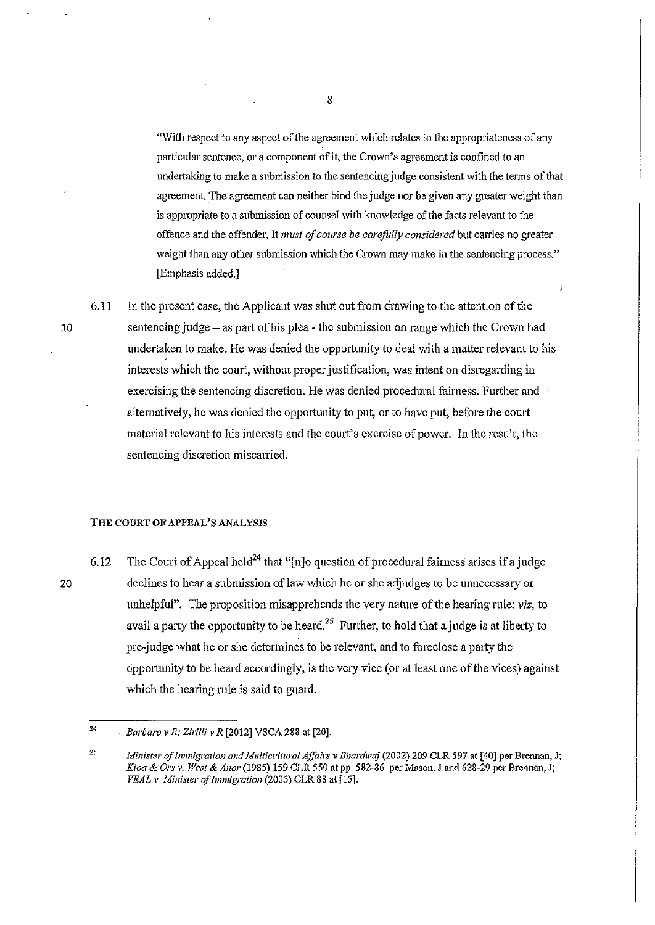"With respect to any aspect of the agreement which relates to the appropriateness of any particular sentence, or a component of it, the Crown's agreement is confined to an undertaking to make a submission to the sentencing judge consistent with the terms of that agreement; The agreement can neither bind the judge nor be given any greater weight than is appropriate to a submission of counsel with knowledge of the facts relevant to the offence and the offender. It *must of course be carefidly considered* but carries no greater weight than any other submission which the Crown may make in the sentencing process." [Emphasis added.]

 $\overline{1}$ 

6.1 I In the present case, the Applicant was shut out from drawing to the attention of the 10 sentencing judge- as pru·t ofhis plea- the submission on range which the Crown had undertaken to make. He was denied the oppottunity to deal with a matter relevant to his interests which the court, without proper justification, was intent on disregarding in exercising the sentencing discretion. He was denied procedural fairness. Further and alternatively, he was denied the opportunity to put, or to have put, before the court material relevant to his interests and the court's exercise of power. In the result, the sentencing discretion miscarried.

#### **THE** COURT **OF** APPEAL'S ANALYSIS

6.12 The Court of Appeal held<sup>24</sup> that "[n]o question of procedural fairness arises if a judge 20 declines to hear a submission of law which he or she adjudges to be unnecessary or unhelpful".· The proposition misapprehends the very nature of the hearing rule; *viz,.* to avail a party the opportunity to be heard.<sup>25</sup> Further, to hold that a judge is at liberty to pre-judge what he or she determines to be relevant, and to foreclose a party the opportunity to be heard accordingly, is the very vice (or at least one of the vices) against which the hearing rule is said to guard.

<sup>24</sup>  *Barbaro v R; Ziri/li v R* [2012] VSCA 288 at [20].

<sup>25</sup>  *Minister of Immigration and Multicultural Affairs v Bhardwaj (2002) 209 CLR 597 at [40] per Brennan, J; Kioa* & *Ors v. West* & *Anor* (1985) !59 CLR 550 at pp. 582-86 per Mason, J and 628-29 per Brennan, J; *VEAL v Minister of Immigration* (2005) CLR 88 at [15].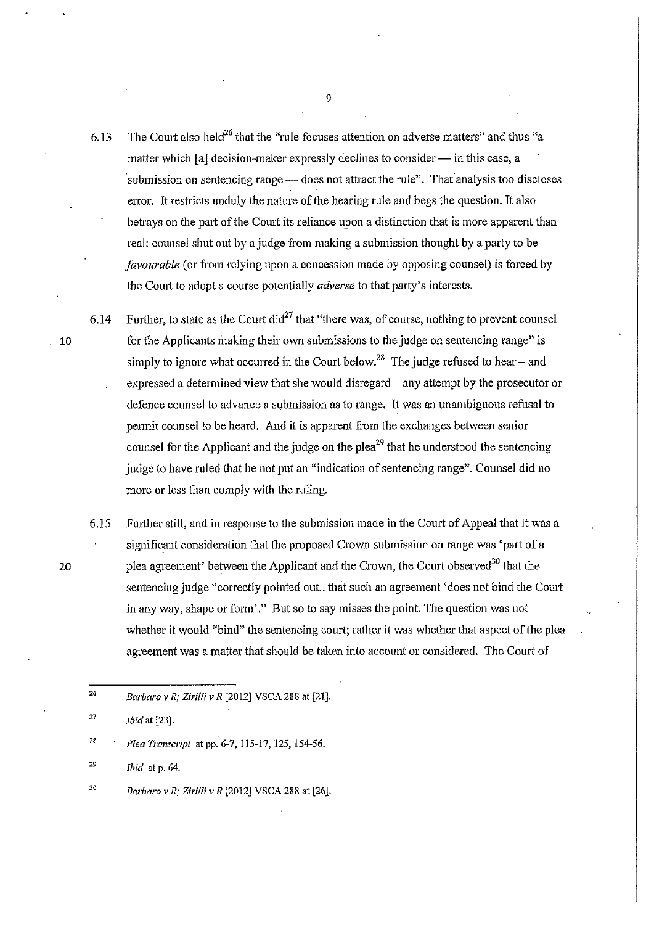6.13 The Court also held<sup>26</sup> that the "rule focuses attention on adverse matters" and thus "a matter which [a] decision-maker expressly declines to consider — in this case, a submission on sentencing range — does not attract the rule". That analysis too discloses error. It restricts unduly the nature of the hearing rule and begs the question. It also betrays on the part of the Court its reliance upon a distinction that is more apparent than real: counsel shut out by a judge from making a submission thought by a party to be *favourable* (or from relying upon a concession made by opposing counsel) is forced by the Comt to *adopt* a course potentially *adverse* to that party's interests.

6.14 Further, to state as the Court did<sup>27</sup> that "there was, of course, nothing to prevent counsel 10 for the Applicants making their own submissions to the judge on sentencing range" is simply to ignore what occurred in the Court below.<sup>28</sup> The judge refused to hear – and expressed a determined view that she would disregard – any attempt by the prosecutor or defence counsel to advance a submission as to range. It was an unambiguous refusal to permit counsel to be heard. And it is apparent from the exchanges between senior counsel for the Applicant and the judge on the plea<sup>29</sup> that he understood the sentencing judge to have ruled that he not put an "indication of sentencing range". Counsel did no more or less than comply with the ruling.

6.15 Further still, and in response to the submission made in the Court of Appeal that it was a significant consideration that the proposed Crown submission on range was 'part of a 20 plea agreement' between the Applicant and the Crown, the Court observed<sup>30</sup> that the sentencing judge "correctly pointed out.. that such an agreement 'does not bind the Court in any way, shape or form'." But so to say misses the point. The question was not whether it would "bind" the sentencing court; rather it was whether that aspect of the plea agreement was a matter that should be taken into account or considered. The Comt of

<sup>29</sup>*Ibid* at p. 64.

<sup>26</sup>*Barbaro v R; Zirilli v R* [20 12] VSCA 288 at [21].

<sup>27</sup>*Ibid* at[23].

<sup>28</sup>*Plea Transcript* at pp. *G-7,* 115-17, 125, 154-56.

<sup>30</sup>*Barbaro v R; Zirilli v R* [2012] VSCA 288 at [26].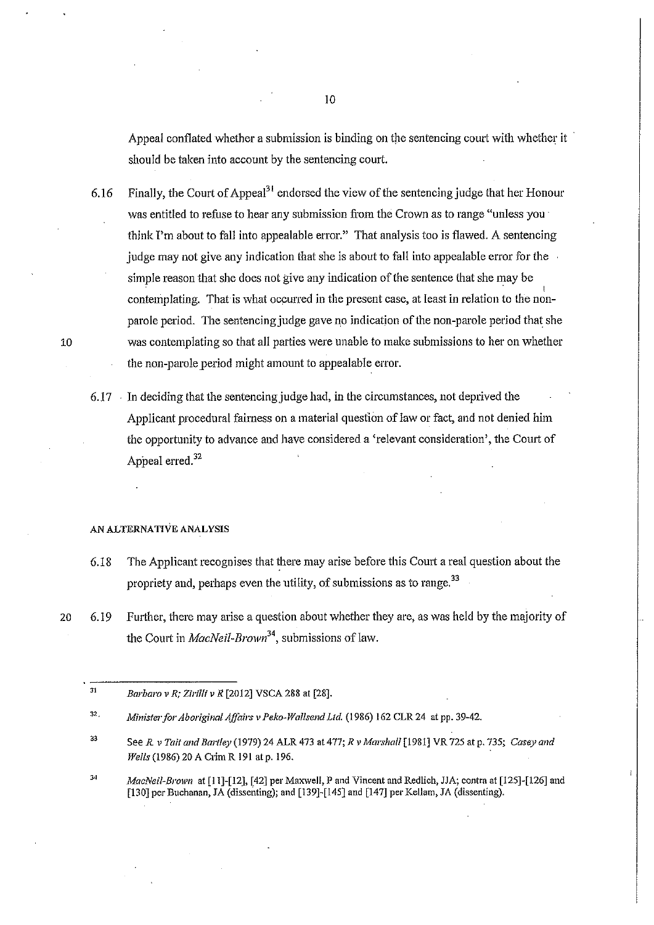Appeal conflated whether a submission is binding on the sentencing court with whether it should be taken into account by the sentencing court.

6.16 Finally, the Court of Appeal<sup>31</sup> endorsed the view of the sentencing judge that her Honour was entitled to refuse to hear any submission from the Crown as to range "unless you is think I'm about to fall into appealable error." That analysis too is flawed. A sentencing judge may not give any indication that she is about to fall into appealable error for the simple reason that she does not give any indication of the sentence that she may be contemplating. That is what occurred in the present case, at least in relation to the nonparole period. The sentencing judge gave no indication of the non-parole period that she was contemplating so that all parties were unable to make submissions to her on whether the non-parole period might amount to appealable error.

6.17 . In deciding that the sentencing judge had, in the circumstances, not deprived the Applicant procedural faimess on a material question of law or fact, and not denied him the opportunity to advance and have considered a 'relevant consideration', the Court of Appeal erred.<sup>32</sup>

#### AN ALTERNATIVE ANALYSIS

- 6.18 The Applicant recognises that there may arise before this Court a real question about the propriety and, perhaps even the utility, of submissions as to range.<sup>33</sup>
- 20 6.19 Further, there may arise a question about whether they are, as was held by the majority of the Court in *MacNeil-Brown*<sup>34</sup>, submissions of law.

<sup>31</sup>  *Barbaro v R; Zirilli v R* [2012] VSCA 288 at [28].

<sup>32.</sup>  *Minister for Aboriginal Affairs v Peko-Wal/send Ltd.* (1986) 162 CLR 24 at pp. 39-42.

<sup>33</sup>  *SeeR v Tail and Bartley* (1979) 24 ALR 473 at477; *R v Marshall* [1981] VR 725 at p. 735; *Casey and Wells* (1986) 20 A Crim R 191 at p. 196.

<sup>34</sup> *MacNeil-Brown* at [11]-[12], [42] per Maxwell, P and Vincent and Redlich, JJA; contra at [125]-[126] and [130] per Buchanan, JA (dissenting); and [139]-[145] and [147] per Kellam, JA (dissenting).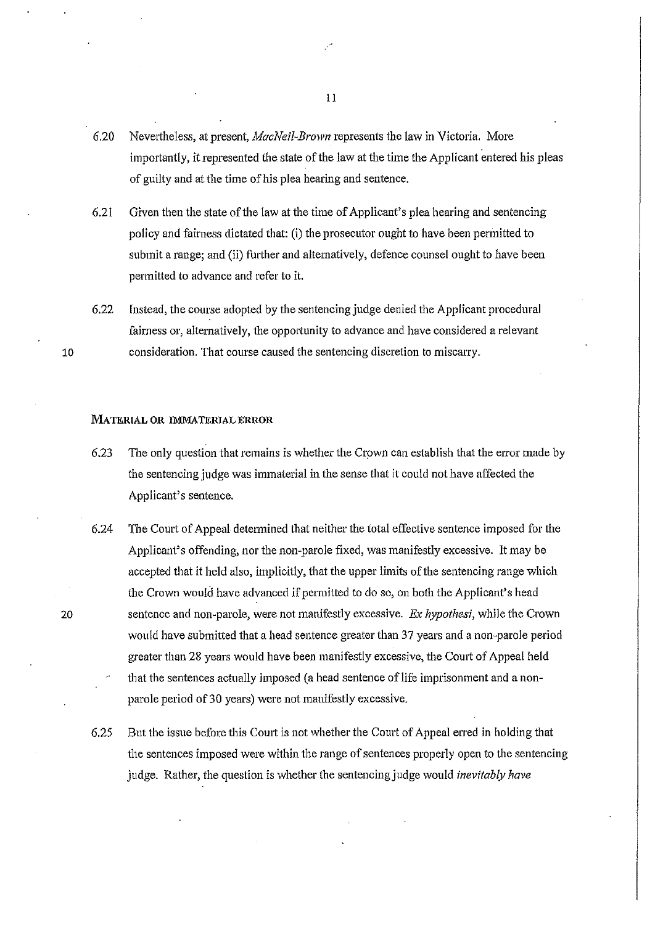- 6.20 Nevettheless, at present, *MacNeil-Brown* represents the law in Victoria. More importantly, it represented the state of the law at the time the Applicant entered his pleas of guilty and at the time of his plea hearing and sentence.
- 6.21 Given then the state of the law at the time of Applicant's plea hearing and sentencing policy and fairness dictated that: (i) the prosecutor ought to have been permitted to submit a range; and (ii) further and altematively, defence counsel ought to have been permitted to advance and refer to it.
- 6.22 Instead, the course adopted by the sentencing judge denied the Applicant procedural fairness or, alternatively, the opportunity to advance and have considered a relevant consideration. That course caused the sentencing discretion to miscarry.

#### MATERIAL OR IMMATERIAL ERROR

- 6.23 The only question that remains is whether the Crown can establish that the error made by the sentencing judge was immaterial in the sense that it could not have affected the Applicant's sentence.
- 6.24 The Court of Appeal determined that neither the total effective sentence imposed for the Applicant's offending, nor the non-parole fixed, was manifestly excessive. It may be accepted that it held also, implicitly, that the upper limits of the sentencing range which the Crown would have advanced if permitted to do so, on both the Applicant's head sentence and non-parole, were not manifestly excessive. *Ex hypothesi,* while the Crown would have submitted that a head sentence greater than 37 years and a non-parole period greater than 28 years would have been manifestly excessive, the Coutt of Appeal held that the sentences actually imposed (a head sentence of life imprisonment and a nonparole period of30 years) were not manifestly excessive.
- 6.25 But the issue before this Coutt is not whether the Court of Appeal erred in holding that the sentences imposed were within the range of sentences properly open to the sentencing judge. Rather, the question is whether the sentencing judge would *inevitably have*

ll

20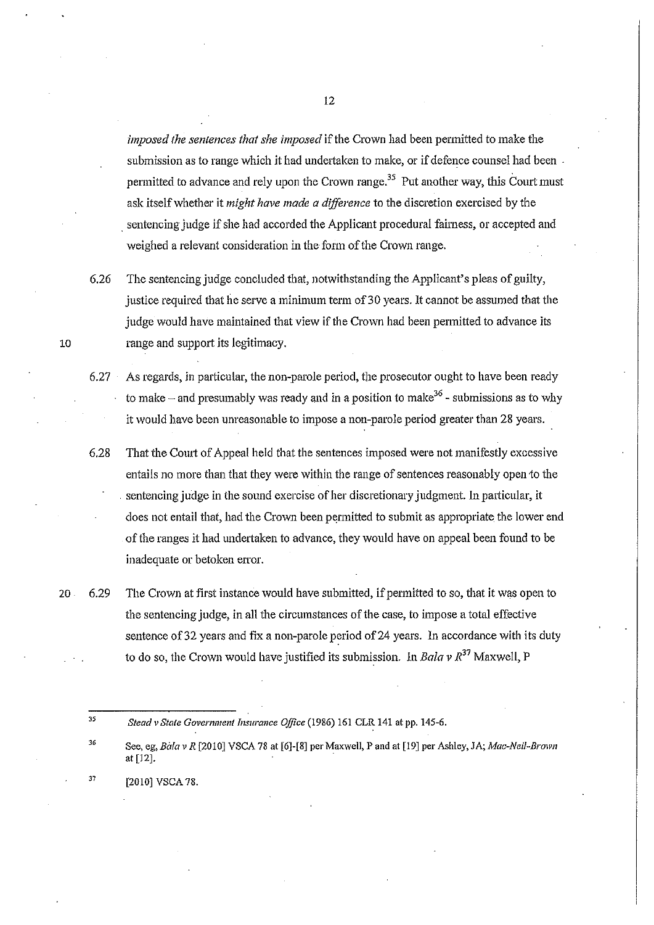*imposed the sentences that she imposed* if the Crown had been permitted to make the submission as to range which it had undertaken to make, or if defence counsel had been . permitted to advance and rely upon the Crown range.35 Put another way, *this* Court must ask itself whether it *might have made a difference* to the discretion exercised by the sentencing judge if she had accorded the Applicant procedural fairness, or accepted and weighed a relevant consideration in the form of the Crown range.

6.26 The sentencing judge concluded that, notwithstanding the Applicant's pleas of guilty, justice required that he serve a minimum term of 30 years. It cannot be assumed that the judge would have maintained that view if the Crown had been permitted to advance its 10 range and support its legitimacy.

6.27 As regards, in particular, the non-parole period, the prosecutor ought to have been ready to make – and presumably was ready and in a position to make  $36$  - submissions as to why it would have been unreasonable to impose a non-parole period greater than 28 years.

6.28 That the Court of Appeal held that the sentences imposed were not manifestly excessive entails no more than that they were within the range of sentences reasonably open to the . sentencing judge in the sound exercise of her discretionary judgment. In particular, it does not entail that, had the Crown been permitted to submit as appropriate the lower end of the ranges it had undertaken to advance, they would have on appeal been found to be inadequate or betoken error.

20 6.29 The Crown at first instance would have submitted, if permitted to so, that it was open to the sentencing judge, in all the circumstances of the case, to impose a total effective sentence of 32 years and fix a non-parole period of 24 years. In accordance with its duty to do so, the Crown would have justified its submission. In *Bala v*  $R^{37}$  Maxwell, P

35

- 36 See, eg, *Billa v R* [2010] VSCA 78 at [6]-[8] per Maxwell, P and at [19] per Ashley, JA; *Mae-Neil-Brawn*  at [12].
- 37 [2010] VSCA 78.

*Stead vSta/e Govemment Tnsurance Office* (1986) 161 CLR 141 at pp. 145-6.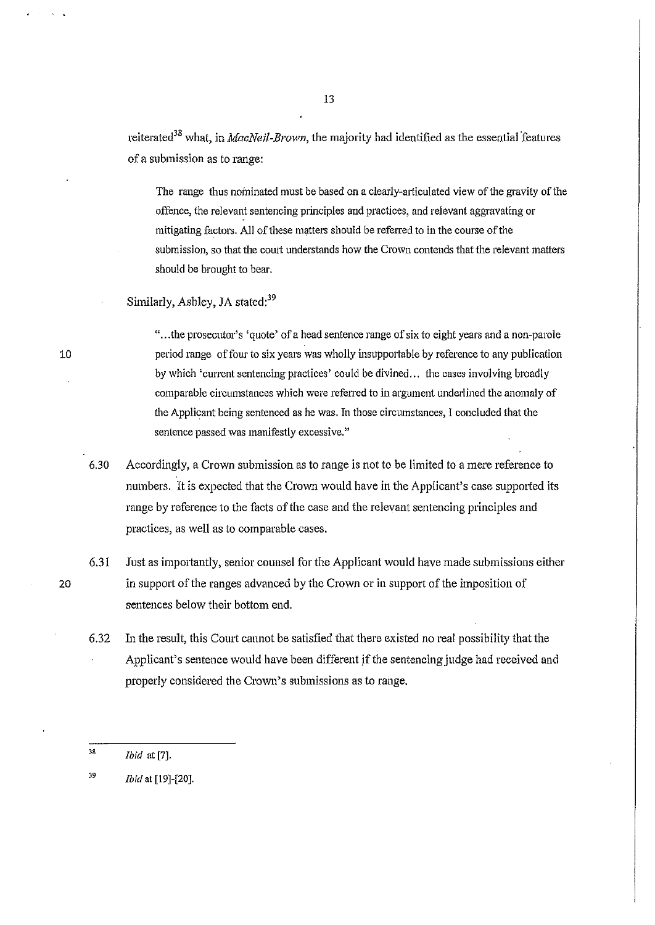reiterated<sup>38</sup> what, in *MacNeil-Brown*, the majority had identified as the essential features of a submission as to range:

The range thus nominated must be based on a clearly-articulated view of the gravity of the offence, the relevant sentencing principles and practices, and relevant aggravating or mitigating factors. All of these matters should be referred to in the course of the submission, so that the court understands how the Crown contends that the relevant matters should be brought to bear.

Similarly, Ashley, JA stated:<sup>39</sup>

"... the prosecutor's 'quote' of a head sentence range of six to eight years and a non-parole period range of four to six years was wholly insupportable by reference to any publication by which 'current sentencing practices' could be divined ... the cases involving broadly comparable circumstances which were referred to in argument underlined the anomaly of the Applicant being sentenced as he was. In those circumstances, I concluded that the sentence passed was manifestly excessive."

- 6.30 Accordingly, a Crown submission as to range is not to be limited to a mere reference to numbers. It is expected that the Crown would have in the Applicant's case supported its range by reference to the facts of the case and the relevant sentencing principles and practices, as well as to comparable cases.
- 6.31 Just as importantly, senior counsel for the Applicant would have made submissions either 20 in support of the ranges advanced by the Crown or in support of the imposition of sentences below their bottom end.
	- 6.32 In the result, this Court cannot be satisfied that there existed no real possibility that the Applicant's sentence would have been different if the sentencing judge had received and properly considered the Crown's submissions as to range.

J9 *ibid* at [19]-[20].

<sup>38</sup>*Ibid* at [7].